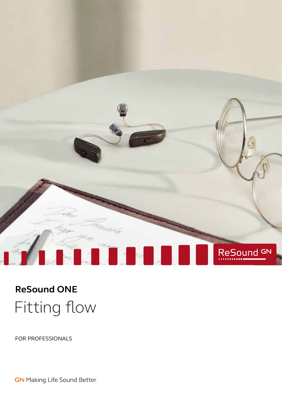

# Fitting flow **ReSound ONE**

FOR PROFESSIONALS

**GN** Making Life Sound Better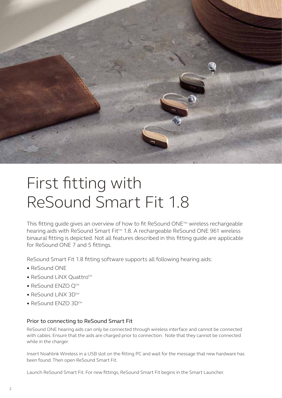

# First fitting with ReSound Smart Fit 1.8

This fitting guide gives an overview of how to fit ReSound ONE<sup>™</sup> wireless rechargeable hearing aids with ReSound Smart Fit<sup>™</sup> 1.8. A rechargeable ReSound ONE 961 wireless binaural fitting is depicted. Not all features described in this fitting guide are applicable for ReSound ONE 7 and 5 fittings.

ReSound Smart Fit 1.8 fitting software supports all following hearing aids:

- ReSound ONE
- ReSound LiNX Quattro<sup>TM</sup>
- ReSound ENZO QTM
- ReSound LINX 3DTM
- ReSound ENZO 3DTM

#### Prior to connecting to ReSound Smart Fit

ReSound ONE hearing aids can only be connected through wireless interface and cannot be connected with cables. Ensure that the aids are charged prior to connection. Note that they cannot be connected while in the charger.

Insert Noahlink Wireless in a USB slot on the fitting PC and wait for the message that new hardware has been found. Then open ReSound Smart Fit.

Launch ReSound Smart Fit. For new fittings, ReSound Smart Fit begins in the Smart Launcher.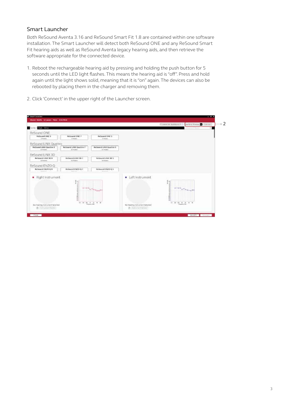#### Smart Launcher

Both ReSound Aventa 3.16 and ReSound Smart Fit 1.8 are contained within one software installation. The Smart Launcher will detect both ReSound ONE and any ReSound Smart Fit hearing aids as well as ReSound Aventa legacy hearing aids, and then retrieve the software appropriate for the connected device.

1. Reboot the rechargeable hearing aid by pressing and holding the push button for 5 seconds until the LED light flashes. This means the hearing aid is "off". Press and hold again until the light shows solid, meaning that it is "on" again. The devices can also be rebooted by placing them in the charger and removing them.



2. Click 'Connect' in the upper right of the Launcher screen.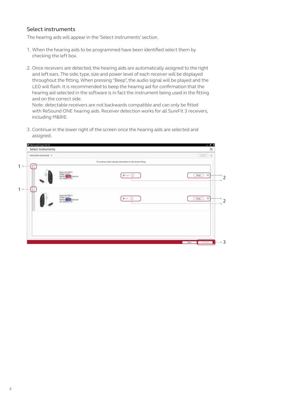#### Select instruments

The hearing aids will appear in the 'Select instruments' section.

- 1. When the hearing aids to be programmed have been identified select them by checking the left box.
- 2. Once receivers are detected, the hearing aids are automatically assigned to the right and left ears. The side, type, size and power level of each receiver will be displayed throughout the fitting. When pressing "Beep", the audio signal will be played and the LED will flash. It is recommended to beep the hearing aid for confirmation that the hearing aid selected in the software is in fact the instrument being used in the fitting and on the correct side.

Note: detectable receivers are not backwards compatible and can only be fitted with ReSound ONE hearing aids. Receiver detection works for all SureFit 3 receivers, including M&RIE.

3. Continue in the lower right of the screen once the hearing aids are selected and assigned.

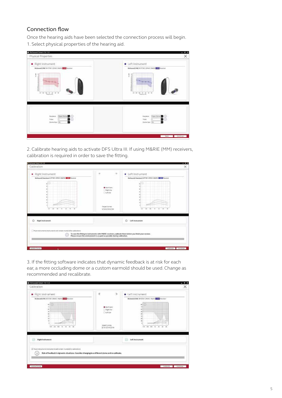#### Connection flow

Once the hearing aids have been selected the connection process will begin. 1. Select physical properties of the hearing aid.

| · Right Instrument                                                                                                                                                                                                                                                                                                                                                                                                                                                                      | · Left Instrument                                                                                                                                                                                                                           |
|-----------------------------------------------------------------------------------------------------------------------------------------------------------------------------------------------------------------------------------------------------------------------------------------------------------------------------------------------------------------------------------------------------------------------------------------------------------------------------------------|---------------------------------------------------------------------------------------------------------------------------------------------------------------------------------------------------------------------------------------------|
| Released ONE 9-47941 CAVIC HILLS Control<br>ţ<br>ы<br>팈<br>$\frac{1}{2}$<br>÷<br>뤤<br>$\overline{\phantom{a}}$<br>$\overline{a}$<br>$\overline{a}$<br><b>Francisco Diet</b>                                                                                                                                                                                                                                                                                                             | Relieved ONC 9 KT50 (Strict Hallie December<br>$\frac{1}{2}$<br>٠<br>$\frac{1}{2}$<br>$\rightarrow$<br>Education Color                                                                                                                      |
| $\begin{array}{lll} \mbox{there} & \displaystyle \frac{\left( \mbox{diam-form} \, \pmb{D} \right)}{\left( \mbox{diam-form} \, \pmb{D} \right)} \odot \\ \mbox{for} & \displaystyle \frac{\left( \mbox{diam} \, \pmb{D} \right)}{\left( \mbox{diam} \, \pmb{D} \right)} \odot \\ \mbox{for} & \displaystyle \frac{\left( \mbox{diam} \, \pmb{D} \right)}{\left( \mbox{diam} \, \pmb{D} \right)} \odot \\ \mbox{for} & \displaystyle \frac{\left( \mbox{diam} \, \pmb{D} \right)}{\left($ | $\begin{array}{ll} \mbox{trimes} & \displaystyle \boxed{\text{function}} \ \bullet \\ \hline \mbox{for} & \displaystyle \boxed{5} \\ \hline \mbox{for} & \displaystyle \boxed{5} \\ \hline \mbox{in} & \displaystyle \boxed{5} \end{array}$ |

2. Calibrate hearing aids to activate DFS Ultra III. If using M&RIE (MM) receivers, calibration is required in order to save the fitting.

| · Right Instrument                                                   | 훈<br>$-1$                                                                                              | · Left Instrument                                    |
|----------------------------------------------------------------------|--------------------------------------------------------------------------------------------------------|------------------------------------------------------|
| Bishmand Hastigan 9 RT961-DRWC M&RIE 1 MM Receiver                   |                                                                                                        | Mehindring Hamilton 1 RT961-DRWC M&RIE 1 MM Receiver |
|                                                                      |                                                                                                        |                                                      |
|                                                                      | <b>B</b> Both Eart<br>Offight Exc                                                                      |                                                      |
|                                                                      | Clienter                                                                                               |                                                      |
|                                                                      |                                                                                                        |                                                      |
|                                                                      |                                                                                                        |                                                      |
|                                                                      | Target Colmic                                                                                          |                                                      |
| $\overline{a}$<br><b>Side</b><br>$\blacksquare$                      | 認知学科学科                                                                                                 |                                                      |
|                                                                      |                                                                                                        |                                                      |
| <b>Right Instrument</b><br>Ō                                         |                                                                                                        | O<br>Left histrument                                 |
|                                                                      |                                                                                                        |                                                      |
| Phila Hallwrents Brotruments will remain muted after satismized<br>⊙ | To seve the fitting to indirenseds with HMRE secrivers, calibrate them before you finish your session. |                                                      |
|                                                                      | Please ensure the environment is as quiet as possible during calibration.                              |                                                      |
|                                                                      |                                                                                                        |                                                      |

3. If the fitting software indicates that dynamic feedback is at risk for each ear, a more occluding dome or a custom earmold should be used. Change as recommended and recalibrate.

| · Right Instrument                                                                                                                                                                      | 淀<br>$\propto$                                                                               | · Left instrument                                                                                                                                    |
|-----------------------------------------------------------------------------------------------------------------------------------------------------------------------------------------|----------------------------------------------------------------------------------------------|------------------------------------------------------------------------------------------------------------------------------------------------------|
| Rebound ONE 9 47301 GRAY, HART TELEVISION<br>o<br>m<br>$\sim$<br>ù<br>'n<br>$\kappa$<br>×<br>'n<br>m.<br>$14 - 16$<br>10 Jul. 14<br>$\sim$<br>$\overline{a}$                            | <b>B</b> Burnlard<br>Offight fax<br>Clientair<br><b>Tanget/Guinea</b><br><b>DESOS ANGERS</b> | Retweek ONE BRENT DRIVE PRAC ESSE WIDEN<br>$\star$ 0<br>×<br>si<br>$\overline{a}$<br>×<br>٠<br>439 .368 .987 .347<br>$\equiv$<br>$\overline{a}$<br>× |
| <b>C</b> Hightfoutnessent                                                                                                                                                               |                                                                                              | a<br>Left Instrument                                                                                                                                 |
| With a construction of the Engineering will increase in a majority supplements<br>Rick of foodback in dynamic situations. Consider changing to a different dome and re-calibrate.<br>Сï |                                                                                              |                                                                                                                                                      |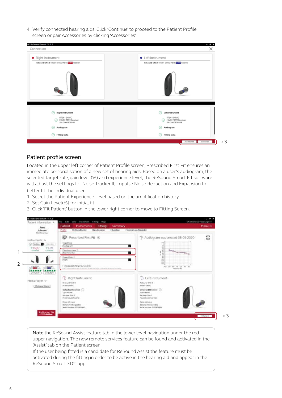4. Verify connected hearing aids. Click 'Continue' to proceed to the Patient Profile screen or pair Accessories by clicking 'Accessories'.

| · Right Instrument                                                                               | • Left Instrument                                                                            |
|--------------------------------------------------------------------------------------------------|----------------------------------------------------------------------------------------------|
| ReSound ONE 9 RT961-DRWC MIRH LES Receiver                                                       | ReSound ONE 9 RT961-DRWC M&RE LEE Receiver                                                   |
| <b>Right Instrument</b><br>RT961-DRWC<br>M&RIE 1MM Receiver<br>O)<br>SN: 2000808940<br>Audiogram | Q<br>Left Instrument<br>RT961-DRWC<br>ABRIE 1MM Receiver<br>SN: 2000808938<br>Audiogram<br>∞ |
|                                                                                                  |                                                                                              |

3

#### Patient profile screen

Located in the upper left corner of Patient Profile screen, Prescribed First Fit ensures an immediate personalisation of a new set of hearing aids. Based on a user's audiogram, the selected target rule, gain level (%) and experience level; the ReSound Smart Fit software will adjust the settings for Noise Tracker II, Impulse Noise Reduction and Expansion to better fit the individual user.

- 1. Select the Patient Experience Level based on the amplification history.
- 2. Set Gain Level(%) for initial fit.
- 3. Click 'Fit Patient' button in the lower right corner to move to Fitting Screen.



Note the ReSound Assist feature tab in the lower level navigation under the red upper navigation. The new remote services feature can be found and activated in the 'Assist' tab on the Patient screen. If the user being fitted is a candidate for ReSound Assist the feature must be

activated during the fitting in order to be active in the hearing aid and appear in the ReSound Smart 3D™ app.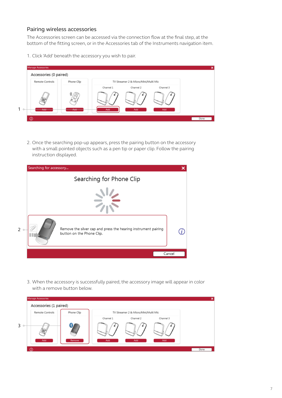#### Pairing wireless accessories

The Accessories screen can be accessed via the connection flow at the final step, at the bottom of the fitting screen, or in the Accessories tab of the Instruments navigation item.

1. Click 'Add' beneath the accessory you wish to pair.



2. Once the searching pop-up appears, press the pairing button on the accessory with a small pointed objects such as a pen tip or paper clip. Follow the pairing instruction displayed.

|   | Searching for accessory |                                                                                             |        |
|---|-------------------------|---------------------------------------------------------------------------------------------|--------|
|   |                         | Searching for Phone Clip                                                                    |        |
|   |                         |                                                                                             |        |
| 2 |                         | Remove the silver cap and press the hearing instrument pairing<br>button on the Phone Clip. |        |
|   |                         |                                                                                             | Cancel |

3. When the accessory is successfully paired, the accessory image will appear in color with a remove button below.

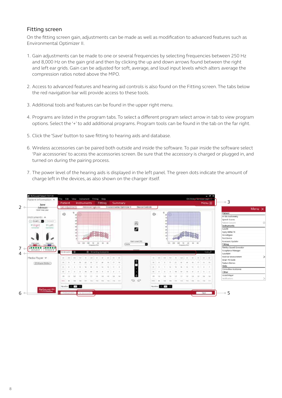#### Fitting screen

On the fitting screen gain, adjustments can be made as well as modification to advanced features such as Environmental Optimizer II.

- 1. Gain adjustments can be made to one or several frequencies by selecting frequencies between 250 Hz and 8,000 Hz on the gain grid and then by clicking the up and down arrows found between the right and left ear grids. Gain can be adjusted for soft, average, and loud input levels which alters average the compression ratios noted above the MPO.
- 2. Access to advanced features and hearing aid controls is also found on the Fitting screen. The tabs below the red navigation bar will provide access to these tools.
- 3. Additional tools and features can be found in the upper right menu.
- 4. Programs are listed in the program tabs. To select a different program select arrow in tab to view program options. Select the '+' to add additional programs. Program tools can be found in the tab on the far right.
- 5. Click the 'Save' button to save fitting to hearing aids and database.
- 6. Wireless accessories can be paired both outside and inside the software. To pair inside the software select 'Pair accessories' to access the accessories screen. Be sure that the accessory is charged or plugged in, and turned on during the pairing process.
- 7. The power level of the hearing aids is displayed in the left panel. The green dots indicate the amount of charge left in the devices, as also shown on the charger itself.

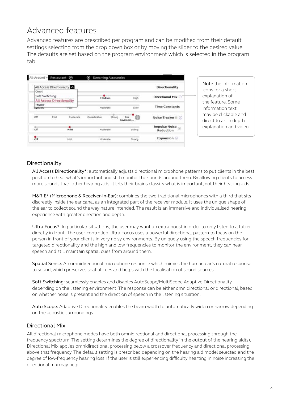### Advanced features

Advanced features are prescribed per program and can be modified from their default settings selecting from the drop down box or by moving the slider to the desired value. The defaults are set based on the program environment which is selected in the program tab.

|                           | All Access Directionality        |             |              |        |                      | Directionality                                       |
|---------------------------|----------------------------------|-------------|--------------|--------|----------------------|------------------------------------------------------|
| Omni                      |                                  |             |              |        |                      |                                                      |
|                           | Soft Switching                   |             | Medium       |        | High                 | Directional Mix @                                    |
|                           | <b>All Access Directionality</b> |             |              |        |                      |                                                      |
| M&RIE<br><b>Syttatore</b> |                                  | <b>Past</b> | Moderate     |        | Slow                 | <b>Time Constants</b>                                |
| 19700<br>Off              | Mild<br>83.YO                    | Moderate    | Considerable | Strong | 阍<br>Per<br>Environm | Noise Tracker II (i)                                 |
| $rac{1}{2}$               |                                  | Mild        | Moderate     |        | Strong               | <b>Impulse Noise</b><br>$\Omega$<br><b>Reduction</b> |
| Оff                       |                                  | Mildi       | Moderate     |        | <b>Strong</b>        | Expansion ©                                          |

Note the information icons for a short explanation of the feature. Some information text may be clickable and direct to an in depth explanation and video.

### Directionality

All Access Directionality\*: automatically adjusts directional microphone patterns to put clients in the best position to hear what's important and still monitor the sounds around them. By allowing clients to access more sounds than other hearing aids, it lets their brains classify what is important, not their hearing aids.

M&RIE\* (Microphone & Receiver-In-Ear): combines the two traditional microphones with a third that sits discreetly inside the ear canal as an integrated part of the receiver module. It uses the unique shape of the ear to collect sound the way nature intended. The result is an immersive and individualised hearing experience with greater direction and depth.

Ultra Focus<sup>\*</sup>: In particular situations, the user may want an extra boost in order to only listen to a talker directly in front. The user-controlled Ultra Focus uses a powerful directional pattern to focus on the person in front of your clients in very noisy environments. By uniquely using the speech frequencies for targeted directionality and the high and low frequencies to monitor the environment, they can hear speech and still maintain spatial cues from around them.

Spatial Sense: An omnidirectional microphone response which mimics the human ear's natural response to sound, which preserves spatial cues and helps with the localisation of sound sources.

Soft Switching: seamlessly enables and disables AutoScope/MultiScope Adaptive Directionality depending on the listening environment. The response can be either omnidirectional or directional, based on whether noise is present and the direction of speech in the listening situation.

Auto Scope: Adaptive Directionality enables the beam width to automatically widen or narrow depending on the acoustic surroundings.

#### Directional Mix

All directional microphone modes have both omnidirectional and directional processing through the frequency spectrum. The setting determines the degree of directionality in the output of the hearing aid(s). Directional Mix applies omnidirectional processing below a crossover frequency and directional processing above that frequency. The default setting is prescribed depending on the hearing aid model selected and the degree of low-frequency hearing loss. If the user is still experiencing difficulty hearting in noise increasing the directional mix may help.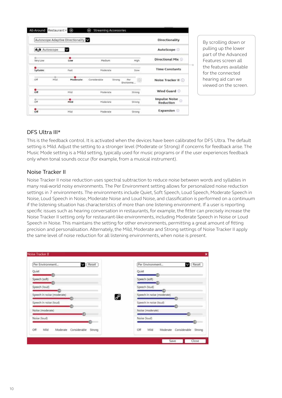|                 |     | Autoscope Adaptive Directionality |                        |                        | <b>Directionality</b>                   |
|-----------------|-----|-----------------------------------|------------------------|------------------------|-----------------------------------------|
| Autoscope       |     | M                                 |                        |                        | AutoScope O                             |
| Very Low        |     | ۰<br>Low                          | Medium                 | High                   | Directional Mix O                       |
| <b>Syllabic</b> |     | Fast                              | Moderate               | Slow                   | <b>Time Constants</b>                   |
| off             | Mid | Moderate                          | Considerable<br>Strong | 10<br>Per<br>Environme | Noise Tracker II                        |
| ٠<br>Off        |     | Mid                               | Moderate               | Strong                 | Wind Guard                              |
| Off             |     | Mild                              | Moderate               | Strong                 | Impulse Noise <sub>o</sub><br>Reduction |
| Off             |     | Mid                               | Moderate               | Strong                 | Expansion ©                             |

By scrolling down or pulling up the lower part of the Advanced Features screen all the features available for the connected hearing aid can we viewed on the screen.

#### DFS Ultra III\*

This is the feedback control. It is activated when the devices have been calibrated for DFS Ultra. The default setting is Mild. Adjust the setting to a stronger level (Moderate or Strong) if concerns for feedback arise. The Music Mode setting is a Mild setting, typically used for music programs or if the user experiences feedback only when tonal sounds occur (for example, from a musical instrument).

#### Noise Tracker II

Noise Tracker II noise reduction uses spectral subtraction to reduce noise between words and syllables in many real-world noisy environments. The Per Environment setting allows for personalized noise reduction settings in 7 environments. The environments include Quiet, Soft Speech, Loud Speech, Moderate Speech in Noise, Loud Speech in Noise, Moderate Noise and Loud Noise, and classification is performed on a continuum if the listening situation has characteristics of more than one listening environment. If a user is reporting specific issues such as hearing conversation in restaurants, for example, the fitter can precisely increase the Noise Tracker II setting only for restaurant-like environments, including Moderate Speech in Noise or Loud Speech in Noise. This maintains the setting for other environments, permitting a great amount of fitting precision and personalisation. Alternately, the Mild, Moderate and Strong settings of Noise Tracker II apply the same level of noise reduction for all listening environments, when noise is present.

| Per Environment<br>Reset                          |   | Per Environment<br>Reset                       |
|---------------------------------------------------|---|------------------------------------------------|
| Quiet                                             |   | Quiet                                          |
| Speech (soft)                                     |   | Speech (soft)                                  |
| Speech (loud)                                     |   | Speech (loud)                                  |
| Speech in noise (moderate)                        | 8 | Speech in noise (moderate)                     |
| Speech in noise (loud)                            |   | Speech in noise (loud)                         |
| Noise (moderate)                                  |   | Noise (moderate)                               |
| Noise (loud)                                      |   | Noise (loud)                                   |
| Off<br>Mild<br>Moderate<br>Considerable<br>Strong |   | Off<br>Mild<br>Moderate Considerable<br>Strong |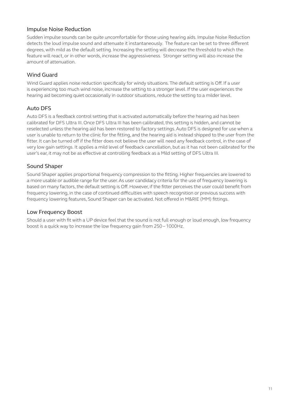#### Impulse Noise Reduction

Sudden impulse sounds can be quite uncomfortable for those using hearing aids. Impulse Noise Reduction detects the loud impulse sound and attenuate it instantaneously. The feature can be set to three different degrees, with mild as the default setting. Increasing the setting will decrease the threshold to which the feature will react, or in other words, increase the aggressiveness. Stronger setting will also increase the amount of attenuation.

#### Wind Guard

Wind Guard applies noise reduction specifically for windy situations. The default setting is Off. If a user is experiencing too much wind noise, increase the setting to a stronger level. If the user experiences the hearing aid becoming quiet occasionally in outdoor situations, reduce the setting to a milder level.

### Auto DFS

Auto DFS is a feedback control setting that is activated automatically before the hearing aid has been calibrated for DFS Ultra III. Once DFS Ultra III has been calibrated, this setting is hidden, and cannot be reselected unless the hearing aid has been restored to factory settings. Auto DFS is designed for use when a user is unable to return to the clinic for the fitting, and the hearing aid is instead shipped to the user from the fitter. It can be turned off if the fitter does not believe the user will need any feedback control, in the case of very low gain settings. It applies a mild level of feedback cancellation, but as it has not been calibrated for the user's ear, it may not be as effective at controlling feedback as a Mild setting of DFS Ultra III.

#### Sound Shaper

Sound Shaper applies proportional frequency compression to the fitting. Higher frequencies are lowered to a more usable or audible range for the user. As user candidacy criteria for the use of frequency lowering is based on many factors, the default setting is Off. However, if the fitter perceives the user could benefit from frequency lowering, in the case of continued difficulties with speech recognition or previous success with frequency lowering features, Sound Shaper can be activated. Not offered in M&RIE (MM) fittings.

#### Low Frequency Boost

Should a user with fit with a UP device feel that the sound is not full enough or loud enough, low frequency boost is a quick way to increase the low frequency gain from 250 – 1000Hz.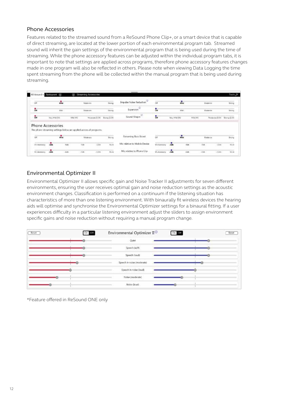#### Phone Accessories

Features related to the streamed sound from a ReSound Phone Clip+, or a smart device that is capable of direct streaming, are located at the lower portion of each environmental program tab. Streamed sound will inherit the gain settings of the environmental program that is being used during the time of streaming. While the phone accessory features can be adjusted within the individual program tabs, it is important to note that settings are applied across programs, therefore phone accessory features changes made in one program will also be reflected in others. Please note when viewing Data Logging the time spent streaming from the phone will be collected within the manual program that is being used during streaming.

| All-              | Around v Restourent (6)                                                     | Θ                 | Streaming Accessories           |                                     |                                      |                 |                   |                   |                 |                               | Tools &               |
|-------------------|-----------------------------------------------------------------------------|-------------------|---------------------------------|-------------------------------------|--------------------------------------|-----------------|-------------------|-------------------|-----------------|-------------------------------|-----------------------|
| ٠<br><b>OP</b>    | ÷.                                                                          |                   | Stoderate                       | Sinne                               | <b>G)</b><br>Impulse Noise Reduction | ÖĦ              |                   | $\frac{1}{N+1}$   | Moderate        |                               | Stong                 |
| $\frac{6}{0}$     | Mar:                                                                        |                   | Moderate<br>----                | Strong                              | Đ<br>Expansion                       | $\frac{9}{100}$ |                   | MM                | Moderate        |                               | Strong                |
| $\frac{9}{60}$    | Very Mild (SK)                                                              | M&I HIG           | Mosierate (S.S.C.               | Strong (2.54)                       | Sound Shaper <sup>(2)</sup>          | $\frac{1}{2}$   | Yery Mikl (SK)    |                   | M&d MAG         | Moderate (3.54) Strums (2.54) |                       |
|                   | <b>Phone Accessories</b>                                                    | <b>CONTRACTOR</b> |                                 |                                     |                                      | ---             | <b>STATISTICS</b> |                   |                 |                               |                       |
| <b>SOLU</b>       | The phone streaming settings below are applied across all programs.<br>www. |                   | Motivas                         |                                     | Streaming Bass Boost                 |                 |                   | was               | Moderate        |                               |                       |
| or<br>M-Acchildry | nove<br>۰<br>$-169$                                                         | <b>Kob</b>        | <b><i>CONTRACTOR</i></b><br>5sb | Reng<br>Mure<br>12d8<br>-555<br>--- | Mic relative to Mobile Device        | ö<br>MaAtensony | 143               | diam'r.<br>$-680$ | 2000000<br>fide | 1206                          | Sticeg<br>Mate<br>-99 |

#### Environmental Optimizer II

Environmental Optimizer II allows specific gain and Noise Tracker II adjustments for seven different environments, ensuring the user receives optimal gain and noise reduction settings as the acoustic environment changes. Classification is performed on a continuum if the listening situation has characteristics of more than one listening environment. With binaurally fit wireless devices the hearing aids will optimise and synchronise the Environmental Optimizer settings for a binaural fitting. If a user experiences difficulty in a particular listening environment adjust the sliders to assign environment specific gains and noise reduction without requiring a manual program change.

| Reset | On Oil | Environmental Optimizer II <sup>D</sup> | On 198<br>Reset |
|-------|--------|-----------------------------------------|-----------------|
|       |        | Quiet                                   |                 |
|       |        | Speech (soft)                           |                 |
|       |        | Speech (loud)                           |                 |
|       |        | Speech in noise (moderate)              |                 |
|       |        | Speech in noise (loud)                  |                 |
|       |        | Noise (moderate)                        |                 |
|       |        | Noise (loud)                            |                 |

\*Feature offered in ReSound ONE only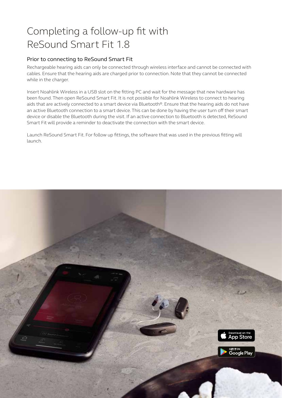### Completing a follow-up fit with ReSound Smart Fit 1.8

#### Prior to connecting to ReSound Smart Fit

Rechargeable hearing aids can only be connected through wireless interface and cannot be connected with cables. Ensure that the hearing aids are charged prior to connection. Note that they cannot be connected while in the charger.

Insert Noahlink Wireless in a USB slot on the fitting PC and wait for the message that new hardware has been found. Then open ReSound Smart Fit. It is not possible for Noahlink Wireless to connect to hearing aids that are actively connected to a smart device via Bluetooth®. Ensure that the hearing aids do not have an active Bluetooth connection to a smart device. This can be done by having the user turn off their smart device or disable the Bluetooth during the visit. If an active connection to Bluetooth is detected, ReSound Smart Fit will provide a reminder to deactivate the connection with the smart device.

Launch ReSound Smart Fit. For follow up fittings, the software that was used in the previous fitting will launch.

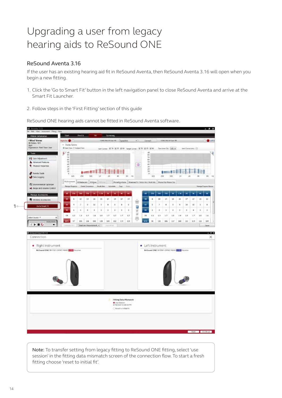### Upgrading a user from legacy hearing aids to ReSound ONE

#### ReSound Aventa 3.16

If the user has an existing hearing aid fit in ReSound Aventa, then ReSound Aventa 3.16 will open when you begin a new fitting.

- 1. Click the 'Go to Smart Fit' button in the left navigation panel to close ReSound Aventa and arrive at the Smart Fit Launcher.
- 2. Follow steps in the 'First Fitting' section of this guide

ReSound ONE hearing aids cannot be fitted in ReSound Aventa software.



Note: To transfer setting from legacy fitting to ReSound ONE fitting, select 'use session' in the fitting data mismatch screen of the connection flow. To start a fresh fitting choose 'reset to initial fit'.

 $1<sub>0</sub>$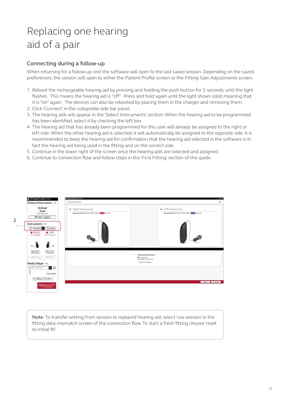## Replacing one hearing aid of a pair

#### Connecting during a follow-up

When returning for a follow-up visit the software will open to the last saved session. Depending on the saved preferences, the session will open to either the Patient Profile screen or the Fitting Gain Adjustments screen.

- 1. Reboot the rechargeable hearing aid by pressing and holding the push button for 5 seconds until the light flashes. This means the hearing aid is "off". Press and hold again until the light shows solid, meaning that it is "on" again. The devices can also be rebooted by placing them in the charger and removing them.
- 2. Click 'Connect' in the collapsible side bar panel.
- 3. The hearing aids will appear in the 'Select Instruments' section. When the hearing aid to be programmed has been identified, select it by checking the left box.
- 4. The hearing aid that has already been programmed for this user will already be assigned to the right or left side. When the other hearing aid is selected, it will automatically be assigned to the opposite side. It is recommended to beep the hearing aid for confirmation that the hearing aid selected in the software is in fact the hearing aid being used in the fitting and on the correct side.
- 5. Continue in the lower right of the screen once the hearing aids are selected and assigned.
- 6. Continue to connection flow and follow steps in the 'First Fitting' section of this guide.



Note: To transfer setting from session to replaced hearing aid, select 'use session' in the fitting data mismatch screen of the connection flow. To start a fresh fitting choose 'reset to initial fit'.